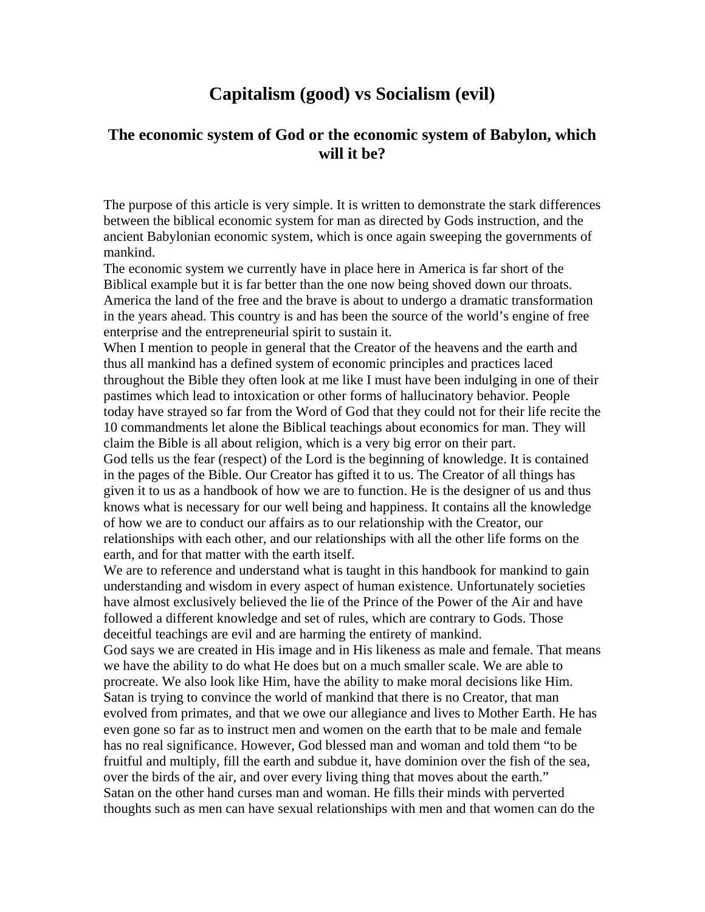## **Capitalism (good) vs Socialism (evil)**

## **The economic system of God or the economic system of Babylon, which will it be?**

The purpose of this article is very simple. It is written to demonstrate the stark differences between the biblical economic system for man as directed by Gods instruction, and the ancient Babylonian economic system, which is once again sweeping the governments of mankind.

The economic system we currently have in place here in America is far short of the Biblical example but it is far better than the one now being shoved down our throats. America the land of the free and the brave is about to undergo a dramatic transformation in the years ahead. This country is and has been the source of the world's engine of free enterprise and the entrepreneurial spirit to sustain it.

When I mention to people in general that the Creator of the heavens and the earth and thus all mankind has a defined system of economic principles and practices laced throughout the Bible they often look at me like I must have been indulging in one of their pastimes which lead to intoxication or other forms of hallucinatory behavior. People today have strayed so far from the Word of God that they could not for their life recite the 10 commandments let alone the Biblical teachings about economics for man. They will claim the Bible is all about religion, which is a very big error on their part. God tells us the fear (respect) of the Lord is the beginning of knowledge. It is contained in the pages of the Bible. Our Creator has gifted it to us. The Creator of all things has given it to us as a handbook of how we are to function. He is the designer of us and thus knows what is necessary for our well being and happiness. It contains all the knowledge of how we are to conduct our affairs as to our relationship with the Creator, our relationships with each other, and our relationships with all the other life forms on the earth, and for that matter with the earth itself.

We are to reference and understand what is taught in this handbook for mankind to gain understanding and wisdom in every aspect of human existence. Unfortunately societies have almost exclusively believed the lie of the Prince of the Power of the Air and have followed a different knowledge and set of rules, which are contrary to Gods. Those deceitful teachings are evil and are harming the entirety of mankind.

God says we are created in His image and in His likeness as male and female. That means we have the ability to do what He does but on a much smaller scale. We are able to procreate. We also look like Him, have the ability to make moral decisions like Him. Satan is trying to convince the world of mankind that there is no Creator, that man evolved from primates, and that we owe our allegiance and lives to Mother Earth. He has even gone so far as to instruct men and women on the earth that to be male and female has no real significance. However, God blessed man and woman and told them "to be fruitful and multiply, fill the earth and subdue it, have dominion over the fish of the sea, over the birds of the air, and over every living thing that moves about the earth." Satan on the other hand curses man and woman. He fills their minds with perverted thoughts such as men can have sexual relationships with men and that women can do the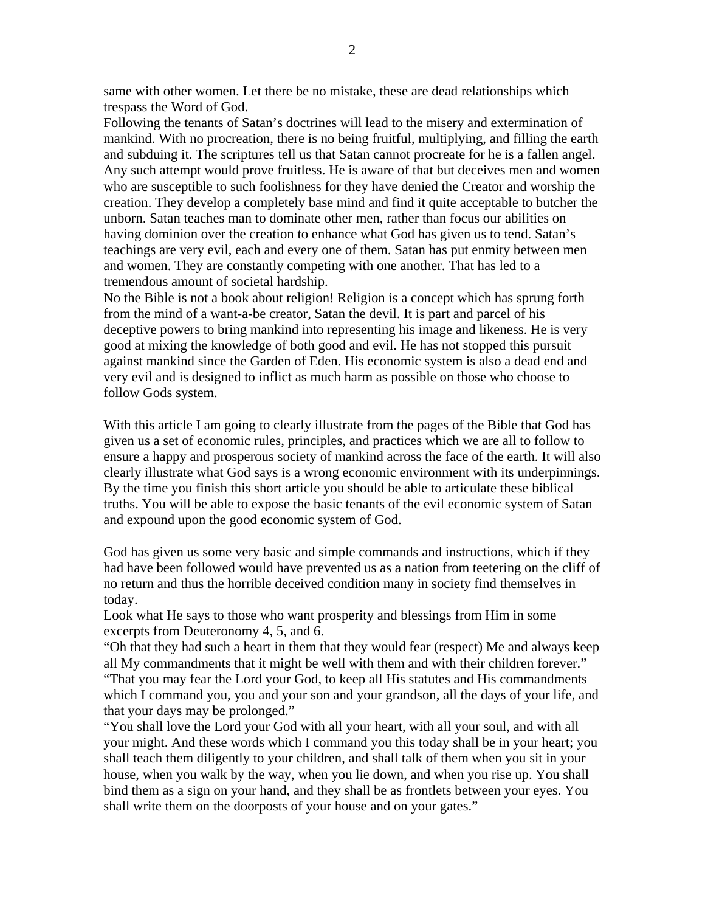same with other women. Let there be no mistake, these are dead relationships which trespass the Word of God.

Following the tenants of Satan's doctrines will lead to the misery and extermination of mankind. With no procreation, there is no being fruitful, multiplying, and filling the earth and subduing it. The scriptures tell us that Satan cannot procreate for he is a fallen angel. Any such attempt would prove fruitless. He is aware of that but deceives men and women who are susceptible to such foolishness for they have denied the Creator and worship the creation. They develop a completely base mind and find it quite acceptable to butcher the unborn. Satan teaches man to dominate other men, rather than focus our abilities on having dominion over the creation to enhance what God has given us to tend. Satan's teachings are very evil, each and every one of them. Satan has put enmity between men and women. They are constantly competing with one another. That has led to a tremendous amount of societal hardship.

No the Bible is not a book about religion! Religion is a concept which has sprung forth from the mind of a want-a-be creator, Satan the devil. It is part and parcel of his deceptive powers to bring mankind into representing his image and likeness. He is very good at mixing the knowledge of both good and evil. He has not stopped this pursuit against mankind since the Garden of Eden. His economic system is also a dead end and very evil and is designed to inflict as much harm as possible on those who choose to follow Gods system.

With this article I am going to clearly illustrate from the pages of the Bible that God has given us a set of economic rules, principles, and practices which we are all to follow to ensure a happy and prosperous society of mankind across the face of the earth. It will also clearly illustrate what God says is a wrong economic environment with its underpinnings. By the time you finish this short article you should be able to articulate these biblical truths. You will be able to expose the basic tenants of the evil economic system of Satan and expound upon the good economic system of God.

God has given us some very basic and simple commands and instructions, which if they had have been followed would have prevented us as a nation from teetering on the cliff of no return and thus the horrible deceived condition many in society find themselves in today.

Look what He says to those who want prosperity and blessings from Him in some excerpts from Deuteronomy 4, 5, and 6.

"Oh that they had such a heart in them that they would fear (respect) Me and always keep all My commandments that it might be well with them and with their children forever." "That you may fear the Lord your God, to keep all His statutes and His commandments which I command you, you and your son and your grandson, all the days of your life, and that your days may be prolonged."

"You shall love the Lord your God with all your heart, with all your soul, and with all your might. And these words which I command you this today shall be in your heart; you shall teach them diligently to your children, and shall talk of them when you sit in your house, when you walk by the way, when you lie down, and when you rise up. You shall bind them as a sign on your hand, and they shall be as frontlets between your eyes. You shall write them on the doorposts of your house and on your gates."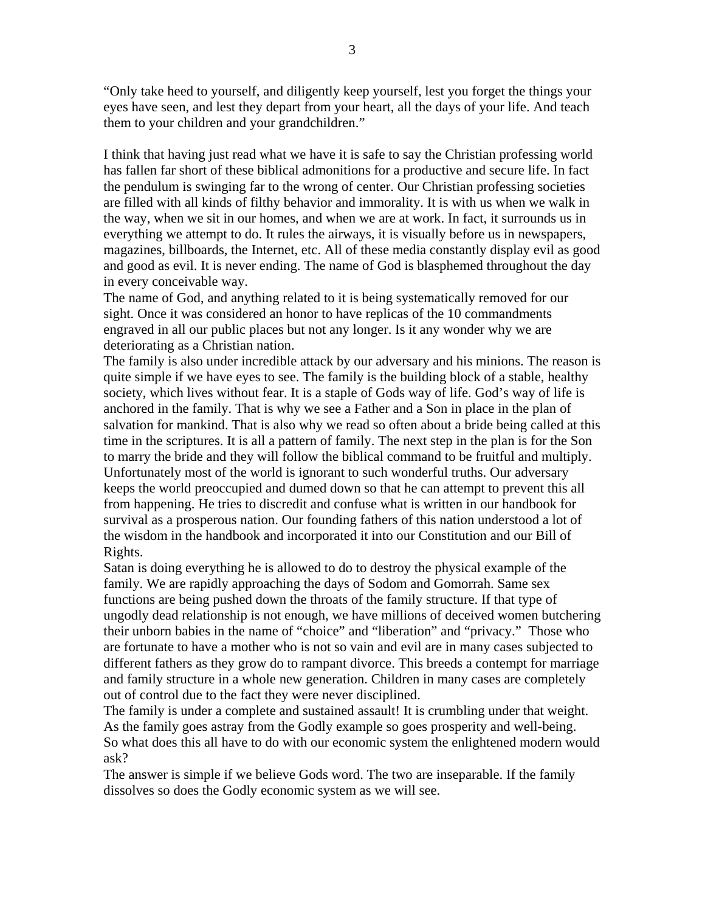"Only take heed to yourself, and diligently keep yourself, lest you forget the things your eyes have seen, and lest they depart from your heart, all the days of your life. And teach them to your children and your grandchildren."

I think that having just read what we have it is safe to say the Christian professing world has fallen far short of these biblical admonitions for a productive and secure life. In fact the pendulum is swinging far to the wrong of center. Our Christian professing societies are filled with all kinds of filthy behavior and immorality. It is with us when we walk in the way, when we sit in our homes, and when we are at work. In fact, it surrounds us in everything we attempt to do. It rules the airways, it is visually before us in newspapers, magazines, billboards, the Internet, etc. All of these media constantly display evil as good and good as evil. It is never ending. The name of God is blasphemed throughout the day in every conceivable way.

The name of God, and anything related to it is being systematically removed for our sight. Once it was considered an honor to have replicas of the 10 commandments engraved in all our public places but not any longer. Is it any wonder why we are deteriorating as a Christian nation.

The family is also under incredible attack by our adversary and his minions. The reason is quite simple if we have eyes to see. The family is the building block of a stable, healthy society, which lives without fear. It is a staple of Gods way of life. God's way of life is anchored in the family. That is why we see a Father and a Son in place in the plan of salvation for mankind. That is also why we read so often about a bride being called at this time in the scriptures. It is all a pattern of family. The next step in the plan is for the Son to marry the bride and they will follow the biblical command to be fruitful and multiply. Unfortunately most of the world is ignorant to such wonderful truths. Our adversary keeps the world preoccupied and dumed down so that he can attempt to prevent this all from happening. He tries to discredit and confuse what is written in our handbook for survival as a prosperous nation. Our founding fathers of this nation understood a lot of the wisdom in the handbook and incorporated it into our Constitution and our Bill of Rights.

Satan is doing everything he is allowed to do to destroy the physical example of the family. We are rapidly approaching the days of Sodom and Gomorrah. Same sex functions are being pushed down the throats of the family structure. If that type of ungodly dead relationship is not enough, we have millions of deceived women butchering their unborn babies in the name of "choice" and "liberation" and "privacy." Those who are fortunate to have a mother who is not so vain and evil are in many cases subjected to different fathers as they grow do to rampant divorce. This breeds a contempt for marriage and family structure in a whole new generation. Children in many cases are completely out of control due to the fact they were never disciplined.

The family is under a complete and sustained assault! It is crumbling under that weight. As the family goes astray from the Godly example so goes prosperity and well-being. So what does this all have to do with our economic system the enlightened modern would ask?

The answer is simple if we believe Gods word. The two are inseparable. If the family dissolves so does the Godly economic system as we will see.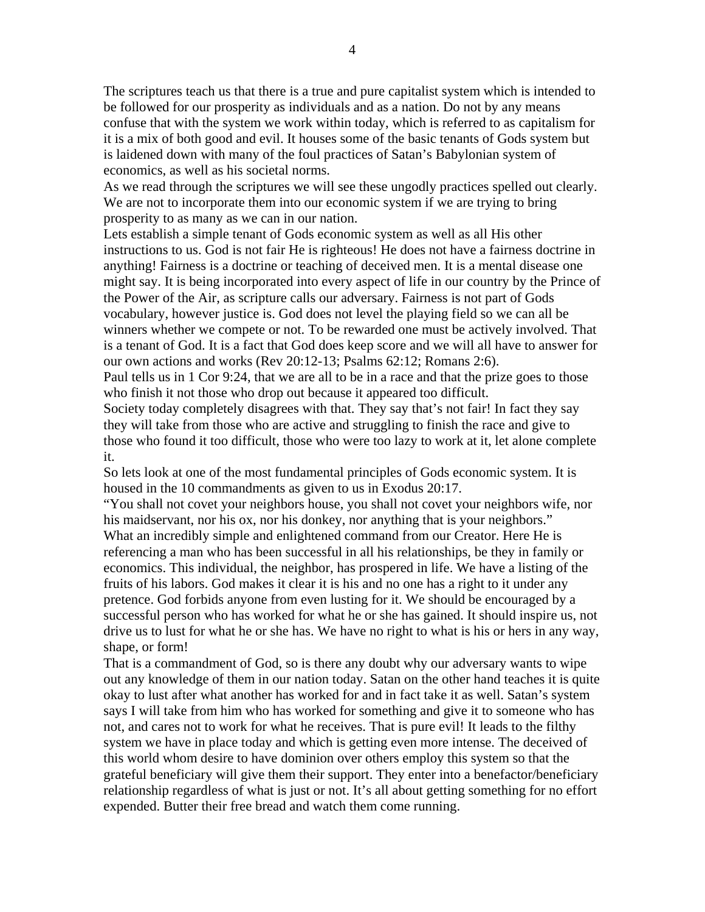The scriptures teach us that there is a true and pure capitalist system which is intended to be followed for our prosperity as individuals and as a nation. Do not by any means confuse that with the system we work within today, which is referred to as capitalism for it is a mix of both good and evil. It houses some of the basic tenants of Gods system but is laidened down with many of the foul practices of Satan's Babylonian system of economics, as well as his societal norms.

As we read through the scriptures we will see these ungodly practices spelled out clearly. We are not to incorporate them into our economic system if we are trying to bring prosperity to as many as we can in our nation.

Lets establish a simple tenant of Gods economic system as well as all His other instructions to us. God is not fair He is righteous! He does not have a fairness doctrine in anything! Fairness is a doctrine or teaching of deceived men. It is a mental disease one might say. It is being incorporated into every aspect of life in our country by the Prince of the Power of the Air, as scripture calls our adversary. Fairness is not part of Gods vocabulary, however justice is. God does not level the playing field so we can all be winners whether we compete or not. To be rewarded one must be actively involved. That is a tenant of God. It is a fact that God does keep score and we will all have to answer for our own actions and works (Rev 20:12-13; Psalms 62:12; Romans 2:6).

Paul tells us in 1 Cor 9:24, that we are all to be in a race and that the prize goes to those who finish it not those who drop out because it appeared too difficult.

Society today completely disagrees with that. They say that's not fair! In fact they say they will take from those who are active and struggling to finish the race and give to those who found it too difficult, those who were too lazy to work at it, let alone complete it.

So lets look at one of the most fundamental principles of Gods economic system. It is housed in the 10 commandments as given to us in Exodus 20:17.

"You shall not covet your neighbors house, you shall not covet your neighbors wife, nor his maidservant, nor his ox, nor his donkey, nor anything that is your neighbors." What an incredibly simple and enlightened command from our Creator. Here He is referencing a man who has been successful in all his relationships, be they in family or economics. This individual, the neighbor, has prospered in life. We have a listing of the fruits of his labors. God makes it clear it is his and no one has a right to it under any pretence. God forbids anyone from even lusting for it. We should be encouraged by a successful person who has worked for what he or she has gained. It should inspire us, not drive us to lust for what he or she has. We have no right to what is his or hers in any way, shape, or form!

That is a commandment of God, so is there any doubt why our adversary wants to wipe out any knowledge of them in our nation today. Satan on the other hand teaches it is quite okay to lust after what another has worked for and in fact take it as well. Satan's system says I will take from him who has worked for something and give it to someone who has not, and cares not to work for what he receives. That is pure evil! It leads to the filthy system we have in place today and which is getting even more intense. The deceived of this world whom desire to have dominion over others employ this system so that the grateful beneficiary will give them their support. They enter into a benefactor/beneficiary relationship regardless of what is just or not. It's all about getting something for no effort expended. Butter their free bread and watch them come running.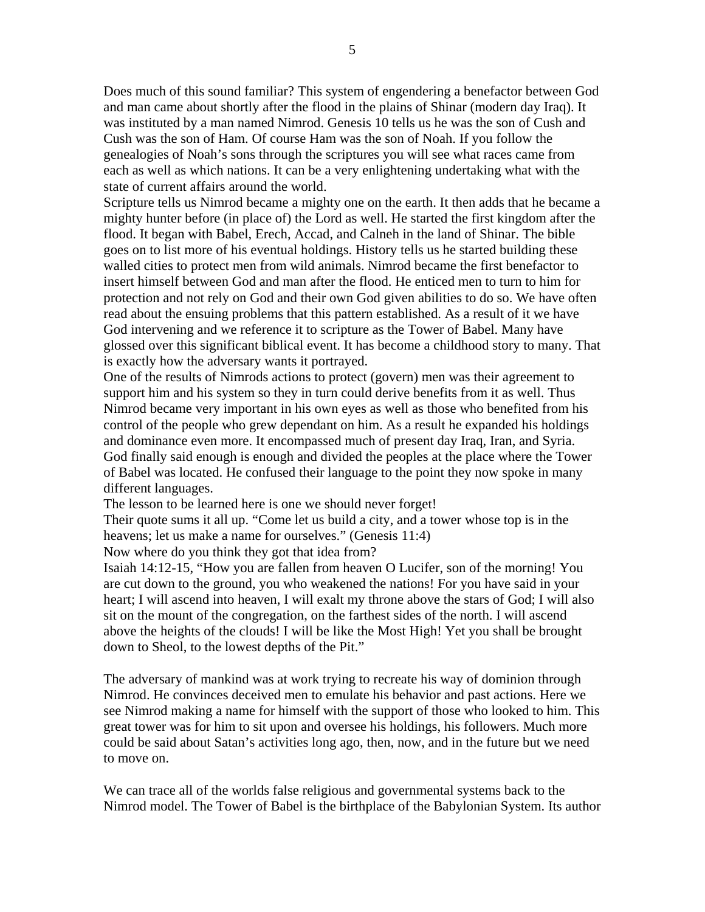Does much of this sound familiar? This system of engendering a benefactor between God and man came about shortly after the flood in the plains of Shinar (modern day Iraq). It was instituted by a man named Nimrod. Genesis 10 tells us he was the son of Cush and Cush was the son of Ham. Of course Ham was the son of Noah. If you follow the genealogies of Noah's sons through the scriptures you will see what races came from each as well as which nations. It can be a very enlightening undertaking what with the state of current affairs around the world.

Scripture tells us Nimrod became a mighty one on the earth. It then adds that he became a mighty hunter before (in place of) the Lord as well. He started the first kingdom after the flood. It began with Babel, Erech, Accad, and Calneh in the land of Shinar. The bible goes on to list more of his eventual holdings. History tells us he started building these walled cities to protect men from wild animals. Nimrod became the first benefactor to insert himself between God and man after the flood. He enticed men to turn to him for protection and not rely on God and their own God given abilities to do so. We have often read about the ensuing problems that this pattern established. As a result of it we have God intervening and we reference it to scripture as the Tower of Babel. Many have glossed over this significant biblical event. It has become a childhood story to many. That is exactly how the adversary wants it portrayed.

One of the results of Nimrods actions to protect (govern) men was their agreement to support him and his system so they in turn could derive benefits from it as well. Thus Nimrod became very important in his own eyes as well as those who benefited from his control of the people who grew dependant on him. As a result he expanded his holdings and dominance even more. It encompassed much of present day Iraq, Iran, and Syria. God finally said enough is enough and divided the peoples at the place where the Tower of Babel was located. He confused their language to the point they now spoke in many different languages.

The lesson to be learned here is one we should never forget!

Their quote sums it all up. "Come let us build a city, and a tower whose top is in the heavens; let us make a name for ourselves." (Genesis 11:4)

Now where do you think they got that idea from?

Isaiah 14:12-15, "How you are fallen from heaven O Lucifer, son of the morning! You are cut down to the ground, you who weakened the nations! For you have said in your heart; I will ascend into heaven, I will exalt my throne above the stars of God; I will also sit on the mount of the congregation, on the farthest sides of the north. I will ascend above the heights of the clouds! I will be like the Most High! Yet you shall be brought down to Sheol, to the lowest depths of the Pit."

The adversary of mankind was at work trying to recreate his way of dominion through Nimrod. He convinces deceived men to emulate his behavior and past actions. Here we see Nimrod making a name for himself with the support of those who looked to him. This great tower was for him to sit upon and oversee his holdings, his followers. Much more could be said about Satan's activities long ago, then, now, and in the future but we need to move on.

We can trace all of the worlds false religious and governmental systems back to the Nimrod model. The Tower of Babel is the birthplace of the Babylonian System. Its author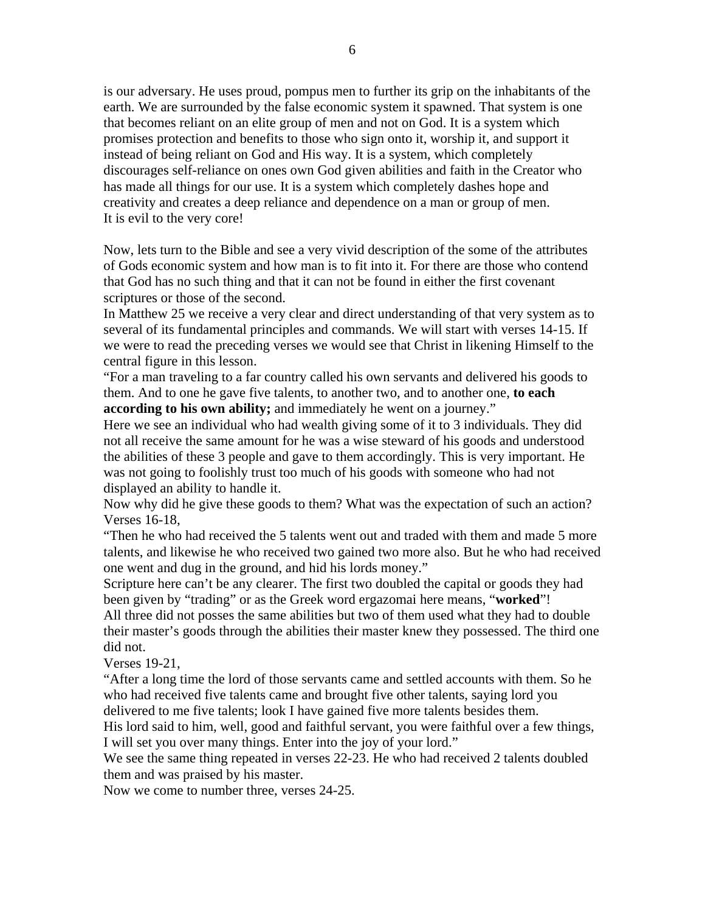is our adversary. He uses proud, pompus men to further its grip on the inhabitants of the earth. We are surrounded by the false economic system it spawned. That system is one that becomes reliant on an elite group of men and not on God. It is a system which promises protection and benefits to those who sign onto it, worship it, and support it instead of being reliant on God and His way. It is a system, which completely discourages self-reliance on ones own God given abilities and faith in the Creator who has made all things for our use. It is a system which completely dashes hope and creativity and creates a deep reliance and dependence on a man or group of men. It is evil to the very core!

Now, lets turn to the Bible and see a very vivid description of the some of the attributes of Gods economic system and how man is to fit into it. For there are those who contend that God has no such thing and that it can not be found in either the first covenant scriptures or those of the second.

In Matthew 25 we receive a very clear and direct understanding of that very system as to several of its fundamental principles and commands. We will start with verses 14-15. If we were to read the preceding verses we would see that Christ in likening Himself to the central figure in this lesson.

"For a man traveling to a far country called his own servants and delivered his goods to them. And to one he gave five talents, to another two, and to another one, **to each according to his own ability;** and immediately he went on a journey."

Here we see an individual who had wealth giving some of it to 3 individuals. They did not all receive the same amount for he was a wise steward of his goods and understood the abilities of these 3 people and gave to them accordingly. This is very important. He was not going to foolishly trust too much of his goods with someone who had not displayed an ability to handle it.

Now why did he give these goods to them? What was the expectation of such an action? Verses 16-18,

"Then he who had received the 5 talents went out and traded with them and made 5 more talents, and likewise he who received two gained two more also. But he who had received one went and dug in the ground, and hid his lords money."

Scripture here can't be any clearer. The first two doubled the capital or goods they had been given by "trading" or as the Greek word ergazomai here means, "**worked**"!

All three did not posses the same abilities but two of them used what they had to double their master's goods through the abilities their master knew they possessed. The third one did not.

Verses 19-21,

"After a long time the lord of those servants came and settled accounts with them. So he who had received five talents came and brought five other talents, saying lord you delivered to me five talents; look I have gained five more talents besides them.

His lord said to him, well, good and faithful servant, you were faithful over a few things, I will set you over many things. Enter into the joy of your lord."

We see the same thing repeated in verses 22-23. He who had received 2 talents doubled them and was praised by his master.

Now we come to number three, verses 24-25.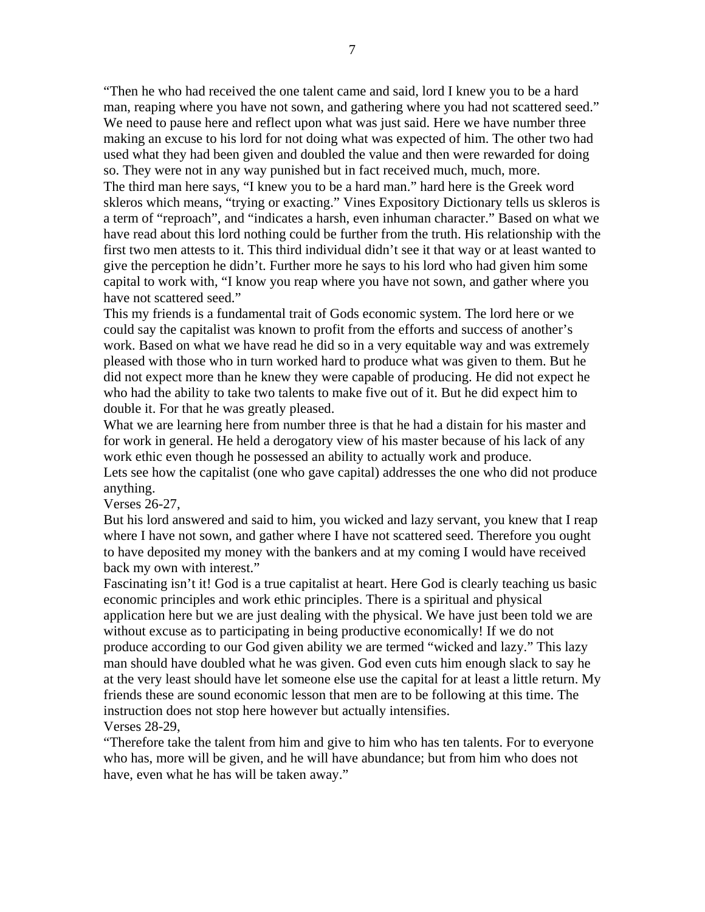"Then he who had received the one talent came and said, lord I knew you to be a hard man, reaping where you have not sown, and gathering where you had not scattered seed." We need to pause here and reflect upon what was just said. Here we have number three making an excuse to his lord for not doing what was expected of him. The other two had used what they had been given and doubled the value and then were rewarded for doing so. They were not in any way punished but in fact received much, much, more.

The third man here says, "I knew you to be a hard man." hard here is the Greek word skleros which means, "trying or exacting." Vines Expository Dictionary tells us skleros is a term of "reproach", and "indicates a harsh, even inhuman character." Based on what we have read about this lord nothing could be further from the truth. His relationship with the first two men attests to it. This third individual didn't see it that way or at least wanted to give the perception he didn't. Further more he says to his lord who had given him some capital to work with, "I know you reap where you have not sown, and gather where you have not scattered seed."

This my friends is a fundamental trait of Gods economic system. The lord here or we could say the capitalist was known to profit from the efforts and success of another's work. Based on what we have read he did so in a very equitable way and was extremely pleased with those who in turn worked hard to produce what was given to them. But he did not expect more than he knew they were capable of producing. He did not expect he who had the ability to take two talents to make five out of it. But he did expect him to double it. For that he was greatly pleased.

What we are learning here from number three is that he had a distain for his master and for work in general. He held a derogatory view of his master because of his lack of any work ethic even though he possessed an ability to actually work and produce.

Lets see how the capitalist (one who gave capital) addresses the one who did not produce anything.

Verses 26-27,

But his lord answered and said to him, you wicked and lazy servant, you knew that I reap where I have not sown, and gather where I have not scattered seed. Therefore you ought to have deposited my money with the bankers and at my coming I would have received back my own with interest."

Fascinating isn't it! God is a true capitalist at heart. Here God is clearly teaching us basic economic principles and work ethic principles. There is a spiritual and physical application here but we are just dealing with the physical. We have just been told we are without excuse as to participating in being productive economically! If we do not produce according to our God given ability we are termed "wicked and lazy." This lazy man should have doubled what he was given. God even cuts him enough slack to say he at the very least should have let someone else use the capital for at least a little return. My friends these are sound economic lesson that men are to be following at this time. The instruction does not stop here however but actually intensifies. Verses 28-29,

"Therefore take the talent from him and give to him who has ten talents. For to everyone who has, more will be given, and he will have abundance; but from him who does not have, even what he has will be taken away."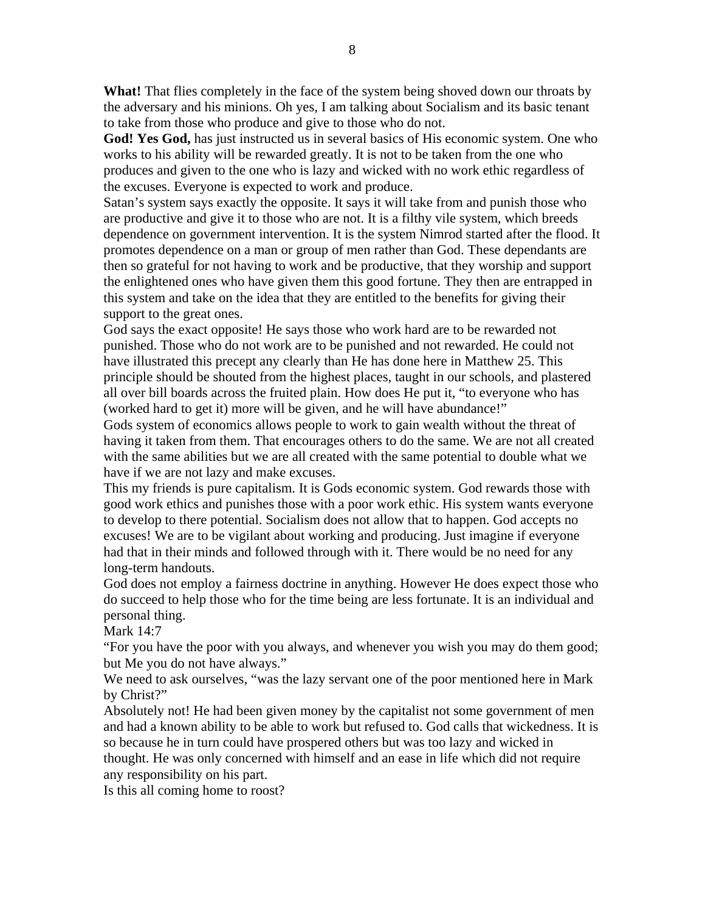**What!** That flies completely in the face of the system being shoved down our throats by the adversary and his minions. Oh yes, I am talking about Socialism and its basic tenant to take from those who produce and give to those who do not.

**God! Yes God,** has just instructed us in several basics of His economic system. One who works to his ability will be rewarded greatly. It is not to be taken from the one who produces and given to the one who is lazy and wicked with no work ethic regardless of the excuses. Everyone is expected to work and produce.

Satan's system says exactly the opposite. It says it will take from and punish those who are productive and give it to those who are not. It is a filthy vile system, which breeds dependence on government intervention. It is the system Nimrod started after the flood. It promotes dependence on a man or group of men rather than God. These dependants are then so grateful for not having to work and be productive, that they worship and support the enlightened ones who have given them this good fortune. They then are entrapped in this system and take on the idea that they are entitled to the benefits for giving their support to the great ones.

God says the exact opposite! He says those who work hard are to be rewarded not punished. Those who do not work are to be punished and not rewarded. He could not have illustrated this precept any clearly than He has done here in Matthew 25. This principle should be shouted from the highest places, taught in our schools, and plastered all over bill boards across the fruited plain. How does He put it, "to everyone who has (worked hard to get it) more will be given, and he will have abundance!"

Gods system of economics allows people to work to gain wealth without the threat of having it taken from them. That encourages others to do the same. We are not all created with the same abilities but we are all created with the same potential to double what we have if we are not lazy and make excuses.

This my friends is pure capitalism. It is Gods economic system. God rewards those with good work ethics and punishes those with a poor work ethic. His system wants everyone to develop to there potential. Socialism does not allow that to happen. God accepts no excuses! We are to be vigilant about working and producing. Just imagine if everyone had that in their minds and followed through with it. There would be no need for any long-term handouts.

God does not employ a fairness doctrine in anything. However He does expect those who do succeed to help those who for the time being are less fortunate. It is an individual and personal thing.

Mark 14:7

"For you have the poor with you always, and whenever you wish you may do them good; but Me you do not have always."

We need to ask ourselves, "was the lazy servant one of the poor mentioned here in Mark by Christ?"

Absolutely not! He had been given money by the capitalist not some government of men and had a known ability to be able to work but refused to. God calls that wickedness. It is so because he in turn could have prospered others but was too lazy and wicked in thought. He was only concerned with himself and an ease in life which did not require any responsibility on his part.

Is this all coming home to roost?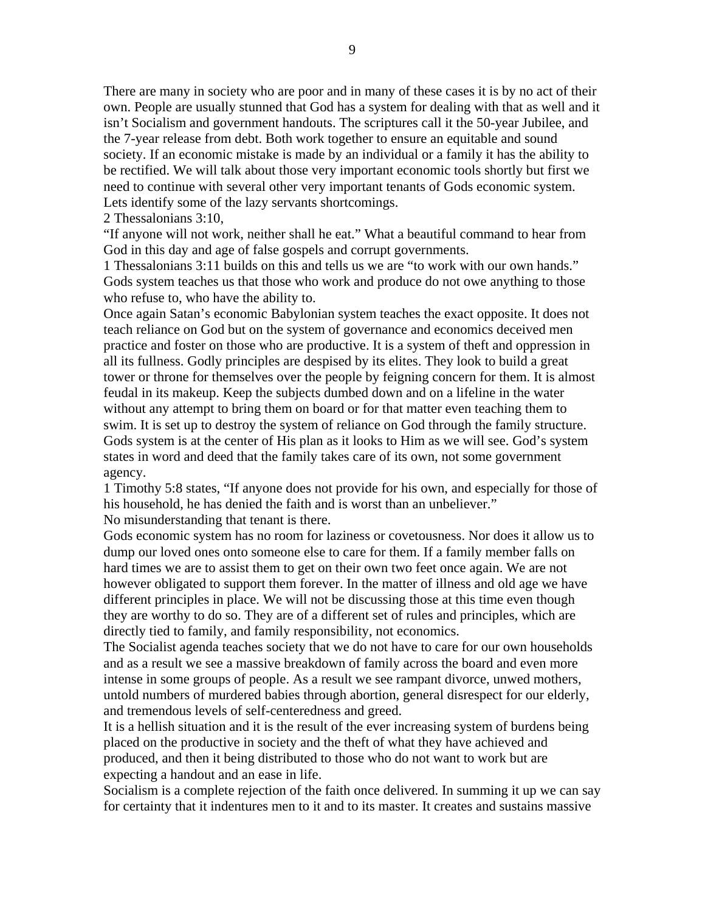There are many in society who are poor and in many of these cases it is by no act of their own. People are usually stunned that God has a system for dealing with that as well and it isn't Socialism and government handouts. The scriptures call it the 50-year Jubilee, and the 7-year release from debt. Both work together to ensure an equitable and sound society. If an economic mistake is made by an individual or a family it has the ability to be rectified. We will talk about those very important economic tools shortly but first we need to continue with several other very important tenants of Gods economic system. Lets identify some of the lazy servants shortcomings.

2 Thessalonians 3:10,

"If anyone will not work, neither shall he eat." What a beautiful command to hear from God in this day and age of false gospels and corrupt governments.

1 Thessalonians 3:11 builds on this and tells us we are "to work with our own hands." Gods system teaches us that those who work and produce do not owe anything to those who refuse to, who have the ability to.

Once again Satan's economic Babylonian system teaches the exact opposite. It does not teach reliance on God but on the system of governance and economics deceived men practice and foster on those who are productive. It is a system of theft and oppression in all its fullness. Godly principles are despised by its elites. They look to build a great tower or throne for themselves over the people by feigning concern for them. It is almost feudal in its makeup. Keep the subjects dumbed down and on a lifeline in the water without any attempt to bring them on board or for that matter even teaching them to swim. It is set up to destroy the system of reliance on God through the family structure. Gods system is at the center of His plan as it looks to Him as we will see. God's system states in word and deed that the family takes care of its own, not some government agency.

1 Timothy 5:8 states, "If anyone does not provide for his own, and especially for those of his household, he has denied the faith and is worst than an unbeliever." No misunderstanding that tenant is there.

Gods economic system has no room for laziness or covetousness. Nor does it allow us to dump our loved ones onto someone else to care for them. If a family member falls on hard times we are to assist them to get on their own two feet once again. We are not however obligated to support them forever. In the matter of illness and old age we have different principles in place. We will not be discussing those at this time even though they are worthy to do so. They are of a different set of rules and principles, which are directly tied to family, and family responsibility, not economics.

The Socialist agenda teaches society that we do not have to care for our own households and as a result we see a massive breakdown of family across the board and even more intense in some groups of people. As a result we see rampant divorce, unwed mothers, untold numbers of murdered babies through abortion, general disrespect for our elderly, and tremendous levels of self-centeredness and greed.

It is a hellish situation and it is the result of the ever increasing system of burdens being placed on the productive in society and the theft of what they have achieved and produced, and then it being distributed to those who do not want to work but are expecting a handout and an ease in life.

Socialism is a complete rejection of the faith once delivered. In summing it up we can say for certainty that it indentures men to it and to its master. It creates and sustains massive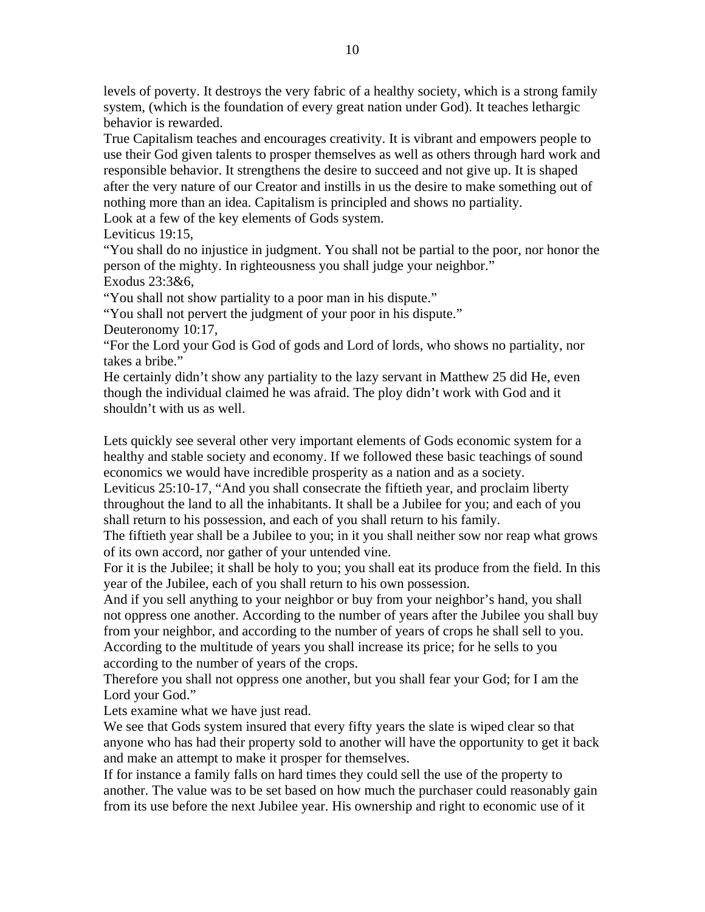levels of poverty. It destroys the very fabric of a healthy society, which is a strong family system, (which is the foundation of every great nation under God). It teaches lethargic behavior is rewarded.

True Capitalism teaches and encourages creativity. It is vibrant and empowers people to use their God given talents to prosper themselves as well as others through hard work and responsible behavior. It strengthens the desire to succeed and not give up. It is shaped after the very nature of our Creator and instills in us the desire to make something out of nothing more than an idea. Capitalism is principled and shows no partiality. Look at a few of the key elements of Gods system.

Leviticus 19:15,

"You shall do no injustice in judgment. You shall not be partial to the poor, nor honor the person of the mighty. In righteousness you shall judge your neighbor."

Exodus 23:3&6,

"You shall not show partiality to a poor man in his dispute."

"You shall not pervert the judgment of your poor in his dispute."

Deuteronomy 10:17,

"For the Lord your God is God of gods and Lord of lords, who shows no partiality, nor takes a bribe."

He certainly didn't show any partiality to the lazy servant in Matthew 25 did He, even though the individual claimed he was afraid. The ploy didn't work with God and it shouldn't with us as well.

Lets quickly see several other very important elements of Gods economic system for a healthy and stable society and economy. If we followed these basic teachings of sound economics we would have incredible prosperity as a nation and as a society.

Leviticus 25:10-17, "And you shall consecrate the fiftieth year, and proclaim liberty throughout the land to all the inhabitants. It shall be a Jubilee for you; and each of you shall return to his possession, and each of you shall return to his family.

The fiftieth year shall be a Jubilee to you; in it you shall neither sow nor reap what grows of its own accord, nor gather of your untended vine.

For it is the Jubilee; it shall be holy to you; you shall eat its produce from the field. In this year of the Jubilee, each of you shall return to his own possession.

And if you sell anything to your neighbor or buy from your neighbor's hand, you shall not oppress one another. According to the number of years after the Jubilee you shall buy from your neighbor, and according to the number of years of crops he shall sell to you. According to the multitude of years you shall increase its price; for he sells to you according to the number of years of the crops.

Therefore you shall not oppress one another, but you shall fear your God; for I am the Lord your God."

Lets examine what we have just read.

We see that Gods system insured that every fifty years the slate is wiped clear so that anyone who has had their property sold to another will have the opportunity to get it back and make an attempt to make it prosper for themselves.

If for instance a family falls on hard times they could sell the use of the property to another. The value was to be set based on how much the purchaser could reasonably gain from its use before the next Jubilee year. His ownership and right to economic use of it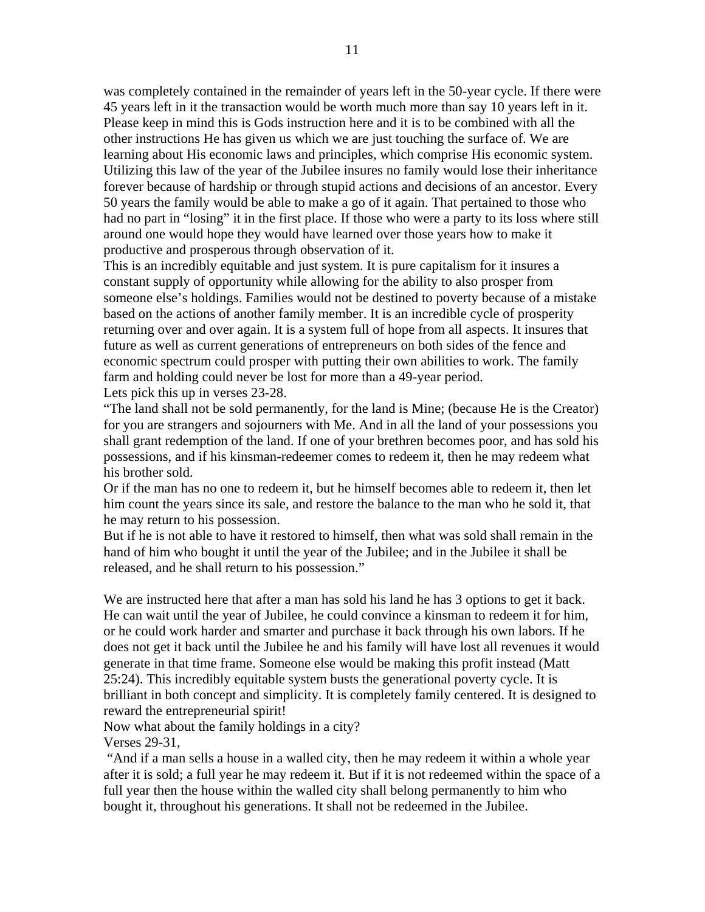was completely contained in the remainder of years left in the 50-year cycle. If there were 45 years left in it the transaction would be worth much more than say 10 years left in it. Please keep in mind this is Gods instruction here and it is to be combined with all the other instructions He has given us which we are just touching the surface of. We are learning about His economic laws and principles, which comprise His economic system. Utilizing this law of the year of the Jubilee insures no family would lose their inheritance forever because of hardship or through stupid actions and decisions of an ancestor. Every 50 years the family would be able to make a go of it again. That pertained to those who had no part in "losing" it in the first place. If those who were a party to its loss where still around one would hope they would have learned over those years how to make it productive and prosperous through observation of it.

This is an incredibly equitable and just system. It is pure capitalism for it insures a constant supply of opportunity while allowing for the ability to also prosper from someone else's holdings. Families would not be destined to poverty because of a mistake based on the actions of another family member. It is an incredible cycle of prosperity returning over and over again. It is a system full of hope from all aspects. It insures that future as well as current generations of entrepreneurs on both sides of the fence and economic spectrum could prosper with putting their own abilities to work. The family farm and holding could never be lost for more than a 49-year period. Lets pick this up in verses 23-28.

"The land shall not be sold permanently, for the land is Mine; (because He is the Creator) for you are strangers and sojourners with Me. And in all the land of your possessions you shall grant redemption of the land. If one of your brethren becomes poor, and has sold his possessions, and if his kinsman-redeemer comes to redeem it, then he may redeem what his brother sold.

Or if the man has no one to redeem it, but he himself becomes able to redeem it, then let him count the years since its sale, and restore the balance to the man who he sold it, that he may return to his possession.

But if he is not able to have it restored to himself, then what was sold shall remain in the hand of him who bought it until the year of the Jubilee; and in the Jubilee it shall be released, and he shall return to his possession."

We are instructed here that after a man has sold his land he has 3 options to get it back. He can wait until the year of Jubilee, he could convince a kinsman to redeem it for him, or he could work harder and smarter and purchase it back through his own labors. If he does not get it back until the Jubilee he and his family will have lost all revenues it would generate in that time frame. Someone else would be making this profit instead (Matt 25:24). This incredibly equitable system busts the generational poverty cycle. It is brilliant in both concept and simplicity. It is completely family centered. It is designed to reward the entrepreneurial spirit!

Now what about the family holdings in a city?

Verses 29-31,

 "And if a man sells a house in a walled city, then he may redeem it within a whole year after it is sold; a full year he may redeem it. But if it is not redeemed within the space of a full year then the house within the walled city shall belong permanently to him who bought it, throughout his generations. It shall not be redeemed in the Jubilee.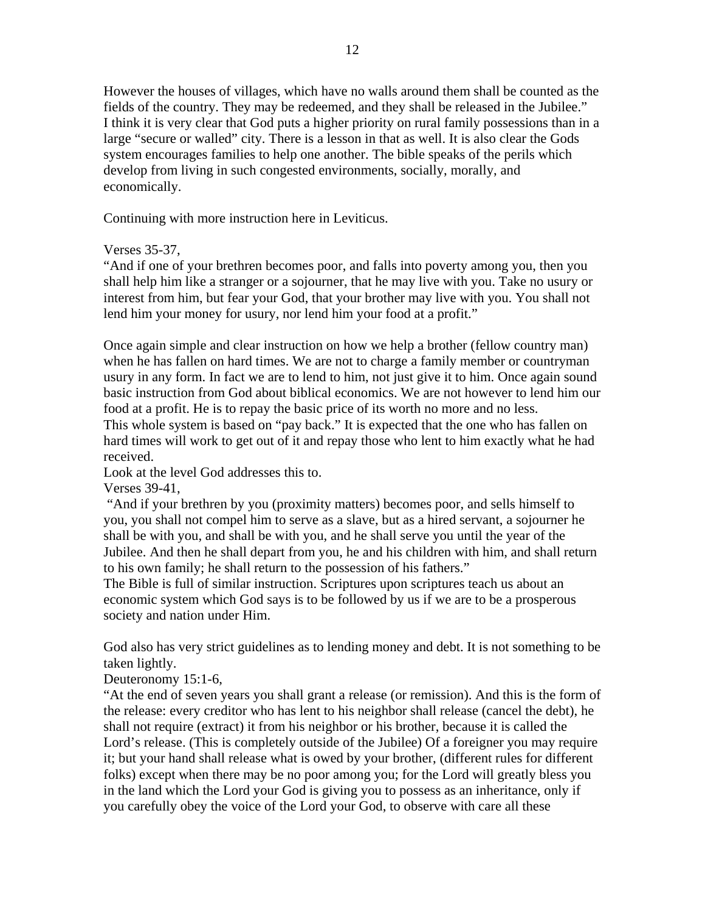However the houses of villages, which have no walls around them shall be counted as the fields of the country. They may be redeemed, and they shall be released in the Jubilee." I think it is very clear that God puts a higher priority on rural family possessions than in a large "secure or walled" city. There is a lesson in that as well. It is also clear the Gods system encourages families to help one another. The bible speaks of the perils which develop from living in such congested environments, socially, morally, and economically.

Continuing with more instruction here in Leviticus.

Verses 35-37,

"And if one of your brethren becomes poor, and falls into poverty among you, then you shall help him like a stranger or a sojourner, that he may live with you. Take no usury or interest from him, but fear your God, that your brother may live with you. You shall not lend him your money for usury, nor lend him your food at a profit."

Once again simple and clear instruction on how we help a brother (fellow country man) when he has fallen on hard times. We are not to charge a family member or countryman usury in any form. In fact we are to lend to him, not just give it to him. Once again sound basic instruction from God about biblical economics. We are not however to lend him our food at a profit. He is to repay the basic price of its worth no more and no less.

This whole system is based on "pay back." It is expected that the one who has fallen on hard times will work to get out of it and repay those who lent to him exactly what he had received.

Look at the level God addresses this to.

Verses 39-41,

 "And if your brethren by you (proximity matters) becomes poor, and sells himself to you, you shall not compel him to serve as a slave, but as a hired servant, a sojourner he shall be with you, and shall be with you, and he shall serve you until the year of the Jubilee. And then he shall depart from you, he and his children with him, and shall return to his own family; he shall return to the possession of his fathers."

The Bible is full of similar instruction. Scriptures upon scriptures teach us about an economic system which God says is to be followed by us if we are to be a prosperous society and nation under Him.

God also has very strict guidelines as to lending money and debt. It is not something to be taken lightly.

Deuteronomy 15:1-6,

"At the end of seven years you shall grant a release (or remission). And this is the form of the release: every creditor who has lent to his neighbor shall release (cancel the debt), he shall not require (extract) it from his neighbor or his brother, because it is called the Lord's release. (This is completely outside of the Jubilee) Of a foreigner you may require it; but your hand shall release what is owed by your brother, (different rules for different folks) except when there may be no poor among you; for the Lord will greatly bless you in the land which the Lord your God is giving you to possess as an inheritance, only if you carefully obey the voice of the Lord your God, to observe with care all these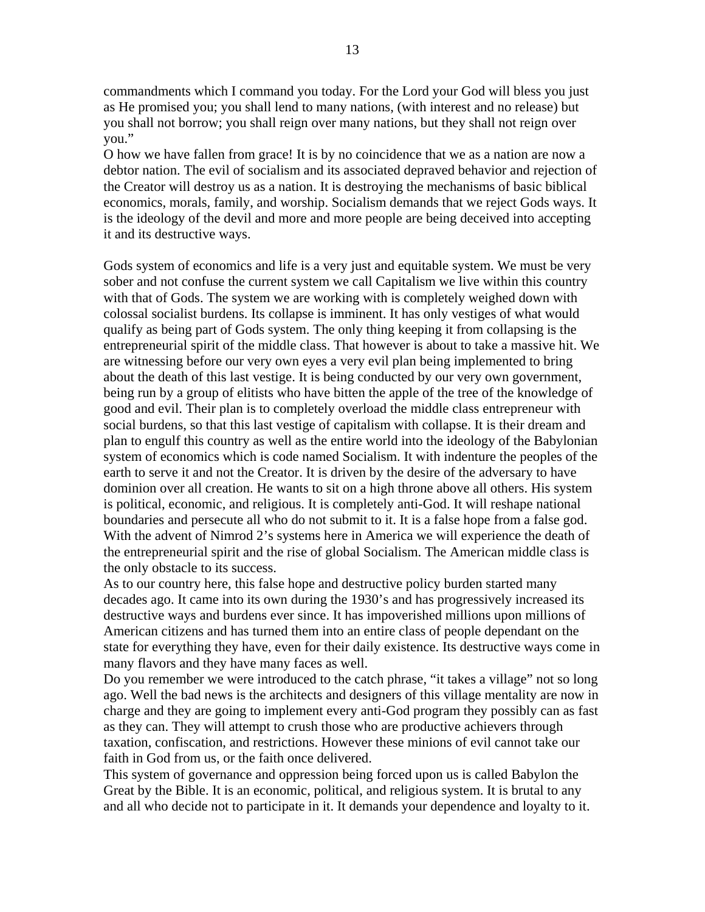commandments which I command you today. For the Lord your God will bless you just as He promised you; you shall lend to many nations, (with interest and no release) but you shall not borrow; you shall reign over many nations, but they shall not reign over you."

O how we have fallen from grace! It is by no coincidence that we as a nation are now a debtor nation. The evil of socialism and its associated depraved behavior and rejection of the Creator will destroy us as a nation. It is destroying the mechanisms of basic biblical economics, morals, family, and worship. Socialism demands that we reject Gods ways. It is the ideology of the devil and more and more people are being deceived into accepting it and its destructive ways.

Gods system of economics and life is a very just and equitable system. We must be very sober and not confuse the current system we call Capitalism we live within this country with that of Gods. The system we are working with is completely weighed down with colossal socialist burdens. Its collapse is imminent. It has only vestiges of what would qualify as being part of Gods system. The only thing keeping it from collapsing is the entrepreneurial spirit of the middle class. That however is about to take a massive hit. We are witnessing before our very own eyes a very evil plan being implemented to bring about the death of this last vestige. It is being conducted by our very own government, being run by a group of elitists who have bitten the apple of the tree of the knowledge of good and evil. Their plan is to completely overload the middle class entrepreneur with social burdens, so that this last vestige of capitalism with collapse. It is their dream and plan to engulf this country as well as the entire world into the ideology of the Babylonian system of economics which is code named Socialism. It with indenture the peoples of the earth to serve it and not the Creator. It is driven by the desire of the adversary to have dominion over all creation. He wants to sit on a high throne above all others. His system is political, economic, and religious. It is completely anti-God. It will reshape national boundaries and persecute all who do not submit to it. It is a false hope from a false god. With the advent of Nimrod 2's systems here in America we will experience the death of the entrepreneurial spirit and the rise of global Socialism. The American middle class is the only obstacle to its success.

As to our country here, this false hope and destructive policy burden started many decades ago. It came into its own during the 1930's and has progressively increased its destructive ways and burdens ever since. It has impoverished millions upon millions of American citizens and has turned them into an entire class of people dependant on the state for everything they have, even for their daily existence. Its destructive ways come in many flavors and they have many faces as well.

Do you remember we were introduced to the catch phrase, "it takes a village" not so long ago. Well the bad news is the architects and designers of this village mentality are now in charge and they are going to implement every anti-God program they possibly can as fast as they can. They will attempt to crush those who are productive achievers through taxation, confiscation, and restrictions. However these minions of evil cannot take our faith in God from us, or the faith once delivered.

This system of governance and oppression being forced upon us is called Babylon the Great by the Bible. It is an economic, political, and religious system. It is brutal to any and all who decide not to participate in it. It demands your dependence and loyalty to it.